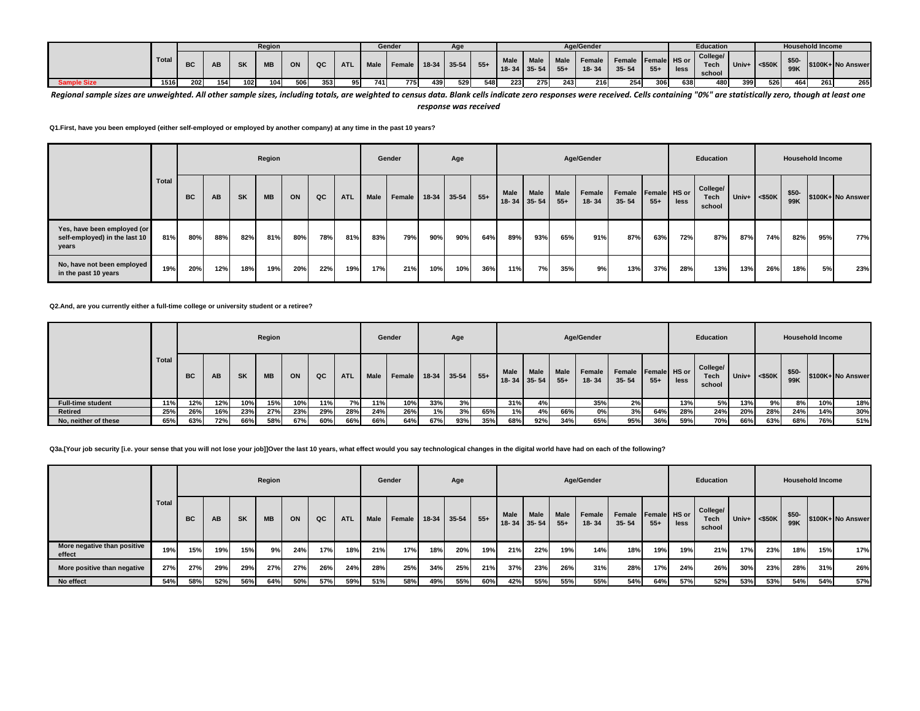|                    |       |           |           |           | <b>Region</b> |     |     |            |      | Gender |             | Age  |       |             |                   |               | Age/Gender |                                               |       |      | Education                         |         |           |             | <b>Household Income</b> |                  |
|--------------------|-------|-----------|-----------|-----------|---------------|-----|-----|------------|------|--------|-------------|------|-------|-------------|-------------------|---------------|------------|-----------------------------------------------|-------|------|-----------------------------------|---------|-----------|-------------|-------------------------|------------------|
|                    | Total | <b>BC</b> | <b>AB</b> | <b>SK</b> | <b>MB</b>     | ON  | QC  | <b>ATL</b> | Male | Female | 18-34 35-54 |      | $55+$ | Male   Male | $18 - 34$ 35 - 54 | Male<br>$55+$ | $18 - 34$  | Female   Female   Female   HS or<br>$35 - 54$ | $55+$ | less | College/<br><b>Tech</b><br>school | $Univ+$ | $<$ \$50K | \$50<br>99K |                         | S100K+ No Answer |
| <b>Sample Size</b> | 1516  | 202       | 154       | 102       | 104           | 506 | 353 | 95         | 741  | 775    | 439         | 5291 | 548   | 223         | 275               | 243           | 216        | 254                                           | 306   | 638  | 480                               | 399     | 526       | 464         | 261                     | 265              |

Regional sample sizes are unweighted. All other sample sizes, including totals, are weighted to census data. Blank cells indicate zero responses were received. Cells containing "0%" are statistically zero, though at least *response was received*

**Q1.First, have you been employed (either self-employed or employed by another company) at any time in the past 10 years?**

|                                                                       |              |     |     |           | Region    |     |     |            |             | Gender |         | Age       |       |      |                           |                       | Age/Gender          |                     |                       |      | Education                         |                    |     |              | <b>Household Income</b> |                   |
|-----------------------------------------------------------------------|--------------|-----|-----|-----------|-----------|-----|-----|------------|-------------|--------|---------|-----------|-------|------|---------------------------|-----------------------|---------------------|---------------------|-----------------------|------|-----------------------------------|--------------------|-----|--------------|-------------------------|-------------------|
|                                                                       | <b>Total</b> | BC  | AB  | <b>SK</b> | <b>MB</b> | ON  | QC  | <b>ATL</b> | <b>Male</b> | Female | $18-34$ | $35 - 54$ | $55+$ | Male | Male<br>$18 - 34$ 35 - 54 | <b>Male</b><br>$55 +$ | Female<br>$18 - 34$ | Female<br>$35 - 54$ | Female HS or<br>$55+$ | less | College/<br><b>Tech</b><br>school | Univ+ $\leq$ \$50K |     | \$50-<br>99K |                         | \$100K+ No Answer |
| Yes, have been employed (or<br>self-employed) in the last 10<br>years | 81%          | 80% | 88% | 82%       | 81%       | 80% | 78% | 81%        | 83%         | 79%    | 90%     | 90%       | 64%   | 89%  | 93%                       | 65%                   | 91%                 | 87%                 | 63%                   | 72%  | 87%                               | 87%                | 74% | 82%          | 95%                     | 77%               |
| No, have not been employed<br>in the past 10 years                    | 19%          | 20% | 12% | 18%       | 19%       | 20% | 22% | 19%        | 17%         | 21%    | 10%     | 10%       | 36%   | 11%  | 7%                        | 35%                   | 9%                  | 13%                 | 37%                   | 28%  | 13%                               | 13%                | 26% | 18%          | 5%                      | 23%               |

**Q2.And, are you currently either a full-time college or university student or a retiree?**

|                          |       |           |     |           | Region    |     |     |            |             | Gender     |               | Age |       |                            |             |                      | Age/Gender          |                                  |       |      | Education                         |         |           |               | <b>Household Income</b> |                   |
|--------------------------|-------|-----------|-----|-----------|-----------|-----|-----|------------|-------------|------------|---------------|-----|-------|----------------------------|-------------|----------------------|---------------------|----------------------------------|-------|------|-----------------------------------|---------|-----------|---------------|-------------------------|-------------------|
|                          | Total | <b>BC</b> | AB  | <b>SK</b> | <b>MB</b> | ON  | QC  | <b>ATL</b> | <b>Male</b> | Female     | $18-34$ 35-54 |     | $55+$ | <b>Male</b><br>18-34 35-54 | <b>Male</b> | <b>Male</b><br>$55+$ | Female<br>$18 - 34$ | Female Female HS or<br>$35 - 54$ | $55+$ | less | College/<br><b>Tech</b><br>school | Univ+ I | $<$ \$50K | $$50-$<br>99K |                         | \$100K+ No Answer |
| <b>Full-time student</b> | 11%   | 12%       | 12% | 10%       | 15%       | 10% | 11% | 7% I       | 11%         | <b>10%</b> | 33%           | 3%  |       | 31%                        | 4%          |                      | 35%                 | 2%                               |       | 13%  | 5%                                | 13%     | 9%        | 8%            | 10%                     | 18%               |
| <b>Retired</b>           | 25%   | 26%       | 16% | 23%       | 27%       | 23% | 29% | 28%        | 24%         | 26%        | 1%            | 3%  | 65%   | 1%                         | 4%          | 66%                  | 0%                  | 3%                               | 64%   | 28%  | 24%                               | 20%     | 28%       | 24%           | 14%                     | 30%               |
| No, neither of these     | 65%   | 63%       | 72% | 66%       | 58%       | 67% | 60% | 66%        | 66%         | 64%        | 67%           | 93% | 35%   | 68%                        | 92%         | 34%                  | 65%                 | 95%                              | 36%   | 59%  | 70%                               | 66%     | 63%       | 68%           | 76%                     | 51%               |

**Q3a.[Your job security [i.e. your sense that you will not lose your job]]Over the last 10 years, what effect would you say technological changes in the digital world have had on each of the following?**

|                                       |       |           |     |           | Region    |     |     |            |      | Gender |     | Age         |       |      |                                  |               | Age/Gender      |                                  |       |      | Education                         |     |                 | <b>Household Income</b> |     |                   |
|---------------------------------------|-------|-----------|-----|-----------|-----------|-----|-----|------------|------|--------|-----|-------------|-------|------|----------------------------------|---------------|-----------------|----------------------------------|-------|------|-----------------------------------|-----|-----------------|-------------------------|-----|-------------------|
|                                       | Total | <b>BC</b> | AB  | <b>SK</b> | <b>MB</b> | ON  | QC  | <b>ATL</b> | Male | Female |     | 18-34 35-54 | $55+$ | Male | <b>Male</b><br>$18 - 34$ 35 - 54 | Male<br>$55+$ | Female<br>18-34 | Female Female HS or<br>$35 - 54$ | $55+$ | less | College/<br><b>Tech</b><br>school |     | Univ+ $<$ \$50K | $$50-$<br>99K           |     | \$100K+ No Answer |
| More negative than positive<br>effect | 19%   | 15%       | 19% | 15%       | 9%        | 24% | 17% | 18%        | 21%  | 17%    | 18% | 20%         | 19%   | 21%  | 22%                              | 19%           | 14%             | 18%                              | 19%   | 19%  | 21%                               | 17% | 23%             | 18%                     | 15% | 17%               |
| More positive than negative           | 27%   | 27%       | 29% | 29%       | 27%       | 27% | 26% | 24%        | 28%  | 25%    | 34% | 25%         | 21%   | 37%  | 23%                              | 26%           | 31%             | 28%                              | 17%   | 24%  | 26%                               | 30% | 23%             | 28%                     | 31% | 26%               |
| No effect                             | 54%   | 58%       | 52% | 56%       | 64%       | 50% | 57% | 59%        | 51%  | 58%    | 49% | 55%         | 60%   | 42%  | 55%                              | 55%           | 55%             | 54%                              | 64%   | 57%  | 52%                               | 53% | 53%             | 54%                     | 54% | 57%               |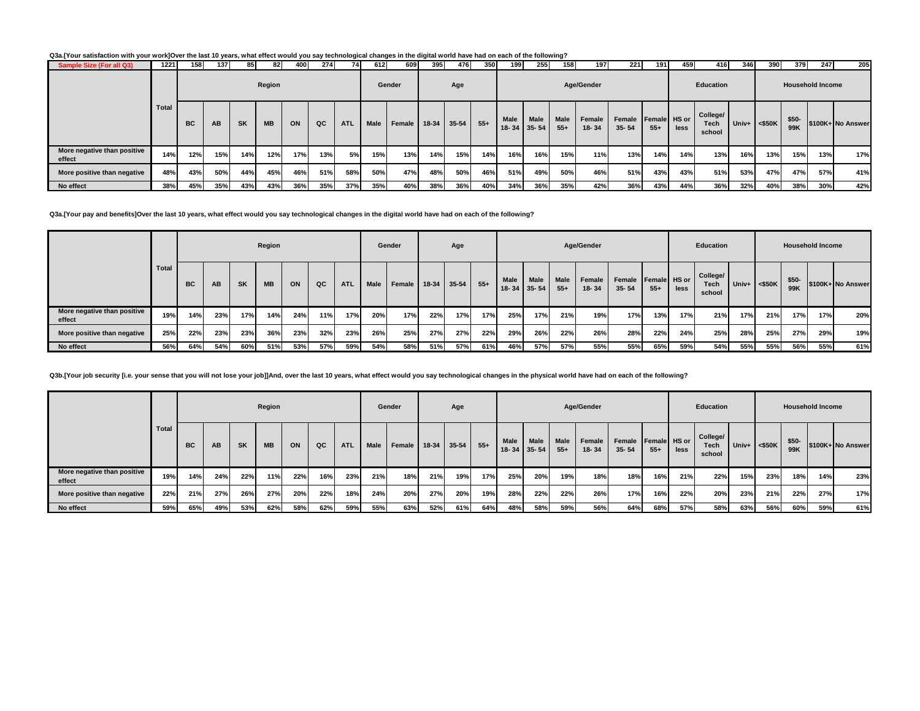**Q3a.[Your satisfaction with your work]Over the last 10 years, what effect would you say technological changes in the digital world have had on each of the following?**

| Sample Size (For all Q3)              | 1221         | 158       | 1371 | 85        | 82        | 400 | 274 | 74         | 612         | 609    | 395     | 476       | 350   | 199               | 255                      | 158                   | 197                 | 221                 | 191                   | 459  | 416                               | 346                | 390 | 379                     | 247 | 205               |
|---------------------------------------|--------------|-----------|------|-----------|-----------|-----|-----|------------|-------------|--------|---------|-----------|-------|-------------------|--------------------------|-----------------------|---------------------|---------------------|-----------------------|------|-----------------------------------|--------------------|-----|-------------------------|-----|-------------------|
|                                       |              |           |      |           | Region    |     |     |            |             | Gender |         | Age       |       |                   |                          |                       | Age/Gender          |                     |                       |      | Education                         |                    |     | <b>Household Income</b> |     |                   |
|                                       | <b>Total</b> | <b>BC</b> | AB.  | <b>SK</b> | <b>MB</b> | ON  | QC  | <b>ATL</b> | <b>Male</b> | Female | $18-34$ | $35 - 54$ | $55+$ | Male<br>$18 - 34$ | <b>Male</b><br>$35 - 54$ | <b>Male</b><br>$55 -$ | Female<br>$18 - 34$ | Female<br>$35 - 54$ | Female HS or<br>$55+$ | less | College/<br><b>Tech</b><br>school | Univ+ $\leq$ \$50K |     | \$50-<br>99K            |     | \$100K+ No Answer |
| More negative than positive<br>effect | 14%          | 12%       | 15%  | 14%       | 12%       | 17% | 13% | 5%         | 15%         | 13%    | 14%     | 15%       | 14%   | 16%               | 16%                      | 15%                   | 11%                 | 13%                 | 14%                   | 14%  | 13%                               | 16%                | 13% | 15%                     | 13% | 17%               |
| More positive than negative           | 48%          | 43%       | 50%  | 44%       | 45%       | 46% | 51% | 58%        | 50%         | 47%    | 48%     | 50%       | 46%   | 51%               | 49%                      | 50%                   | 46%                 | 51%                 | 43%                   | 43%  | 51%                               | 53%                | 47% | 47%                     | 57% | 41%               |
| No effect                             | 38%          | 45%       | 35%  | 43%       | 43%       | 36% | 35% | 37%        | 35%         | 40%    | 38%     | 36%       | 40%   | 34%               | 36%                      | 35%                   | 42%                 | 36%                 | 43%                   | 44%  | 36%                               | 32%                | 40% | 38%                     | 30% | 42%               |

**Q3a.[Your pay and benefits]Over the last 10 years, what effect would you say technological changes in the digital world have had on each of the following?**

 $\sim$ 

|                                       |       |           |     |           | Region    |     |     |            |             | Gender |     | Age         |       |      |                           |                      | Age/Gender      |                                  |       |      | Education                         |     |                    |              | <b>Household Income</b> |                   |
|---------------------------------------|-------|-----------|-----|-----------|-----------|-----|-----|------------|-------------|--------|-----|-------------|-------|------|---------------------------|----------------------|-----------------|----------------------------------|-------|------|-----------------------------------|-----|--------------------|--------------|-------------------------|-------------------|
|                                       | Total | <b>BC</b> | AB  | <b>SK</b> | <b>MB</b> | ON  | QC  | <b>ATL</b> | <b>Male</b> | Female |     | 18-34 35-54 | $55+$ | Male | Male<br>$18 - 34$ 35 - 54 | <b>Male</b><br>$55+$ | Female<br>18-34 | Female Female HS or<br>$35 - 54$ | $55+$ | less | College/<br><b>Tech</b><br>school |     | Univ+ $\leq$ \$50K | \$50-<br>99K |                         | \$100K+ No Answer |
| More negative than positive<br>effect | 19%   | 14%       | 23% | 17%       | 14%       | 24% | 11% | 17%        | 20%         | 17%    | 22% | 17%         | 17%   | 25%  | 17%                       | 21%                  | 19%             | 17%                              | 13%   | 17%  | 21%                               | 17% | 21%                | 17%          | 17%                     | 20%               |
| More positive than negative           | 25%   | 22%       | 23% | 23%       | 36%       | 23% | 32% | 23%        | 26%         | 25%    | 27% | 27%         | 22%   | 29%  | 26%                       | 22%                  | 26%             | 28%                              | 22%   | 24%  | 25%                               | 28% | 25%                | 27%          | 29%                     | 19%               |
| No effect                             | 56%   | 64%       | 54% | 60%       | 51%       | 53% | 57% | 59%        | 54%         | 58%    | 51% | 57%         | 61%   | 46%  | 57%                       | 57%                  | 55%             | 55%                              | 65%   | 59%  | 54%                               | 55% | 55%                | 56%          | 55%                     | 61%               |

**Q3b.[Your job security [i.e. your sense that you will not lose your job]]And, over the last 10 years, what effect would you say technological changes in the physical world have had on each of the following?**

|                                       |       |           |     |     | Region    |     |     |            |             | Gender |               | Age |       |      |                     |                      | Age/Gender      |                                  |       |      | Education                         |       |           |              | <b>Household Income</b> |                   |
|---------------------------------------|-------|-----------|-----|-----|-----------|-----|-----|------------|-------------|--------|---------------|-----|-------|------|---------------------|----------------------|-----------------|----------------------------------|-------|------|-----------------------------------|-------|-----------|--------------|-------------------------|-------------------|
|                                       | Total | <b>BC</b> | AB  | SK  | <b>MB</b> | ON  | QC  | <b>ATL</b> | <b>Male</b> | Female | $18-34$ 35-54 |     | $55+$ | Male | Male<br>18-34 35-54 | <b>Male</b><br>$55+$ | Female<br>18-34 | Female Female HS or<br>$35 - 54$ | $55+$ | less | College/<br><b>Tech</b><br>school | Univ+ | $<$ \$50K | \$50-<br>99K |                         | \$100K+ No Answer |
| More negative than positive<br>effect | 19%   | 14%       | 24% | 22% | 11%       | 22% | 16% | 23%        | 21%         | 18%    | 21%           | 19% | 17%   | 25%  | 20%                 | 19%                  | 18%             | 18%                              | 16%   | 21%  | 22%                               | 15%   | 23%       | 18%          | 14%                     | 23%               |
| More positive than negative           | 22%   | 21%       | 27% | 26% | 27%       | 20% | 22% | 18%        | 24%         | 20%    | 27%           | 20% | 19%   | 28%  | 22%                 | 22%                  | 26%             | 17%                              | 16%   | 22%  | 20%                               | 23%   | 21%       | 22%          | 27%                     | 17%               |
| No effect                             | 59%   | 65%       | 49% | 53% | 62%       | 58% | 62% | 59%        | 55%         | 63%    | 52%           | 61% | 64%   | 48%  | 58%                 | 59%                  | 56%             | 64%                              | 68%   | 57%  | 58%                               | 63%   | 56%       | 60%          | 59%                     | 61%               |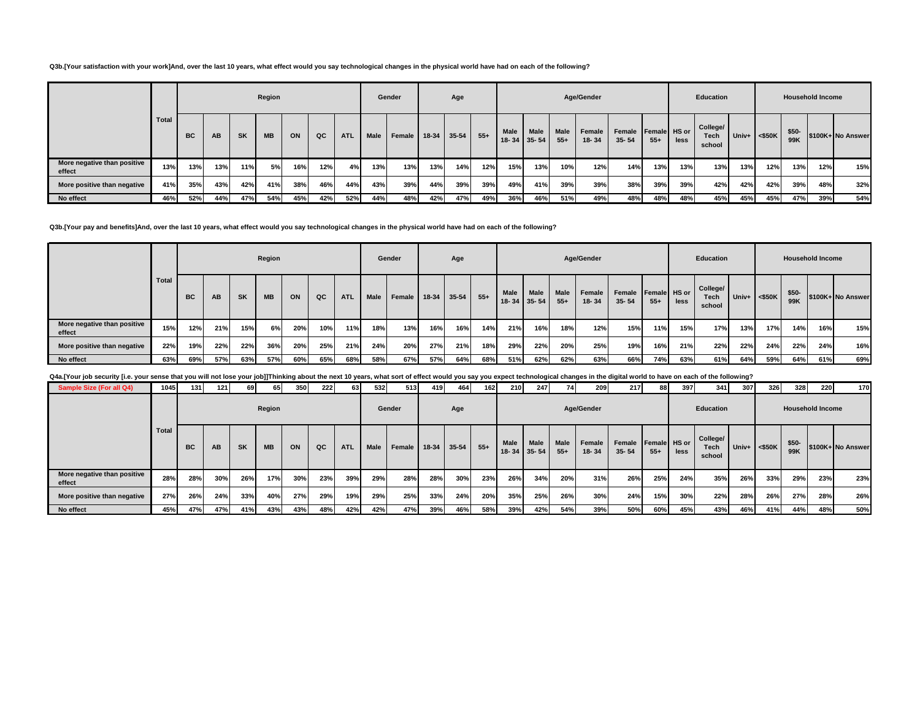### **Q3b.[Your satisfaction with your work]And, over the last 10 years, what effect would you say technological changes in the physical world have had on each of the following?**

|                                       |              |           |           |           | Region    |     |     |            |             | Gender |     | Age         |        |             |                            |                      | Age/Gender      |                     |                       |      | Education                         |       |           | <b>Household Income</b> |     |                   |
|---------------------------------------|--------------|-----------|-----------|-----------|-----------|-----|-----|------------|-------------|--------|-----|-------------|--------|-------------|----------------------------|----------------------|-----------------|---------------------|-----------------------|------|-----------------------------------|-------|-----------|-------------------------|-----|-------------------|
|                                       | <b>Total</b> | <b>BC</b> | <b>AB</b> | <b>SK</b> | <b>MB</b> | ON  | QC  | <b>ATL</b> | <b>Male</b> | Female |     | 18-34 35-54 | $55 +$ | <b>Male</b> | <b>Male</b><br>18-34 35-54 | <b>Male</b><br>$55+$ | Female<br>18-34 | Female<br>$35 - 54$ | Female HS or<br>$55+$ | less | College/<br><b>Tech</b><br>school | Univ+ | $<$ \$50K | $$50-$<br>99K           |     | \$100K+ No Answer |
| More negative than positive<br>effect | 13%          | 13%       | 13%       | 11%       | 5%        | 16% | 12% | 4%         | 13%         | 13%    | 13% | 14%         | 12%    | 15%         | 13%                        | 10%                  | 12%             | 14%                 | 13%                   | 13%  | 13%                               | 13%   | 12%       | 13%                     | 12% | 15%               |
| More positive than negative           | 41%          | 35%       | 43%       | 42%       | 41%       | 38% | 46% | 44%        | 43%         | 39%    | 44% | 39%         | 39%    | 49%         | 41%                        | 39%                  | 39%             | 38%                 | 39%                   | 39%  | 42%                               | 42%   | 42%       | 39%                     | 48% | 32%               |
| No effect                             | 46%          | 52%       | 44%       | 47%       | 54%       | 45% | 42% | 52%        | 44%         | 48%    | 42% | 47%         | 49%    | 36%         | 46%                        | 51%                  | 49%             | 48%                 | 48%                   | 48%  | 45%                               | 45%   | 45%       | 47%                     | 39% | 54%               |

#### **Q3b.[Your pay and benefits]And, over the last 10 years, what effect would you say technological changes in the physical world have had on each of the following?**

|                                       |       |           |     |           | Region    |     |     |            |             | Gender |     | Age         |       |      |                           |                      | Age/Gender      |                     |                       |      | Education                         |     |                 |              | <b>Household Income</b> |                   |
|---------------------------------------|-------|-----------|-----|-----------|-----------|-----|-----|------------|-------------|--------|-----|-------------|-------|------|---------------------------|----------------------|-----------------|---------------------|-----------------------|------|-----------------------------------|-----|-----------------|--------------|-------------------------|-------------------|
|                                       | Total | <b>BC</b> | AB  | <b>SK</b> | <b>MB</b> | ON  | QC  | <b>ATL</b> | <b>Male</b> | Female |     | 18-34 35-54 | $55+$ | Male | Male<br>$18 - 34$ 35 - 54 | <b>Male</b><br>$55+$ | Female<br>18-34 | Female<br>$35 - 54$ | Female HS or<br>$55+$ | less | College/<br><b>Tech</b><br>school |     | Univ+ $<$ \$50K | \$50-<br>99K |                         | \$100K+ No Answer |
| More negative than positive<br>effect | 15%   | 12%       | 21% | 15%       | 6%        | 20% | 10% | 11%        | 18%         | 13%    | 16% | 16%         | 14%   | 21%  | 16%                       | 18%                  | 12%             | 15%                 | 11%                   | 15%  | 17%                               | 13% | 17%             | 14%          | 16%                     | 15%               |
| More positive than negative           | 22%   | 19%       | 22% | 22%       | 36%       | 20% | 25% | 21%        | 24%         | 20%    | 27% | 21%         | 18%   | 29%  | 22%                       | 20%                  | 25%             | 19%                 | 16%                   | 21%  | 22%                               | 22% | 24%             | 22%          | 24%                     | 16%               |
| No effect                             | 63%   | 69%       | 57% | 63%       | 57%       | 60% | 65% | 68%        | 58%         | 67%    | 57% | 64%         | 68%   | 51%  | 62%                       | 62%                  | 63%             | 66%                 | 74%                   | 63%  | 61%                               | 64% | 59%             | 64%          | 61%                     | 69%               |

Q4a.[Your job security [i.e. your sense that you will not lose your job]]Thinking about the next 10 years, what sort of effect would you say you expect technological changes in the digital world to have on each of the foll

| Sample Size (For all Q4)              | 1045  | 131       | $1211$ | 69        | 65        | 350 | 222 | 63         | 532         | 513    | 419 | 464         | 162   | <b>210</b> | 247                       | 74            | 209                 | 217                              | 88    | 397  | 341                               | 307 | 326                | 328           | 220                     | 170               |
|---------------------------------------|-------|-----------|--------|-----------|-----------|-----|-----|------------|-------------|--------|-----|-------------|-------|------------|---------------------------|---------------|---------------------|----------------------------------|-------|------|-----------------------------------|-----|--------------------|---------------|-------------------------|-------------------|
|                                       |       |           |        |           | Region    |     |     |            |             | Gender |     | Age         |       |            |                           |               | Age/Gender          |                                  |       |      | Education                         |     |                    |               | <b>Household Income</b> |                   |
|                                       | Total | <b>BC</b> | AB     | <b>SK</b> | <b>MB</b> | ON  | QC  | <b>ATL</b> | <b>Male</b> | Female |     | 18-34 35-54 | $55+$ | Male       | Male<br>$18 - 34$ 35 - 54 | Male<br>$55+$ | Female<br>$18 - 34$ | Female Female HS or<br>$35 - 54$ | $55+$ | less | College/<br><b>Tech</b><br>school |     | Univ+ $\leq$ \$50K | $$50-$<br>99K |                         | \$100K+ No Answer |
| More negative than positive<br>effect | 28%   | 28%       | 30%    | 26%       | 17%       | 30% | 23% | 39%        | 29%         | 28%    | 28% | 30%         | 23%   | 26%        | 34%                       | 20%           | 31%                 | 26%                              | 25%   | 24%  | 35%                               | 26% | 33%                | 29%           | 23%                     | 23%               |
| More positive than negative           | 27%   | 26%       | 24%    | 33%       | 40%       | 27% | 29% | 19%        | 29%         | 25%    | 33% | 24%         | 20%   | 35%        | 25%                       | 26%           | 30%                 | 24%                              | 15%   | 30%  | 22%                               | 28% | 26%                | 27%           | 28%                     | 26%               |
| No effect                             | 45%   | 47%       | 47%    | 41%       | 43%       | 43% | 48% | 42%        | 42%         | 47%    | 39% | 46%         | 58%   | 39%        | 42%                       | 54%           | 39%                 | 50%                              | 60%   | 45%  | 43%                               | 46% | 41%                | 44%           | 48%                     | 50%               |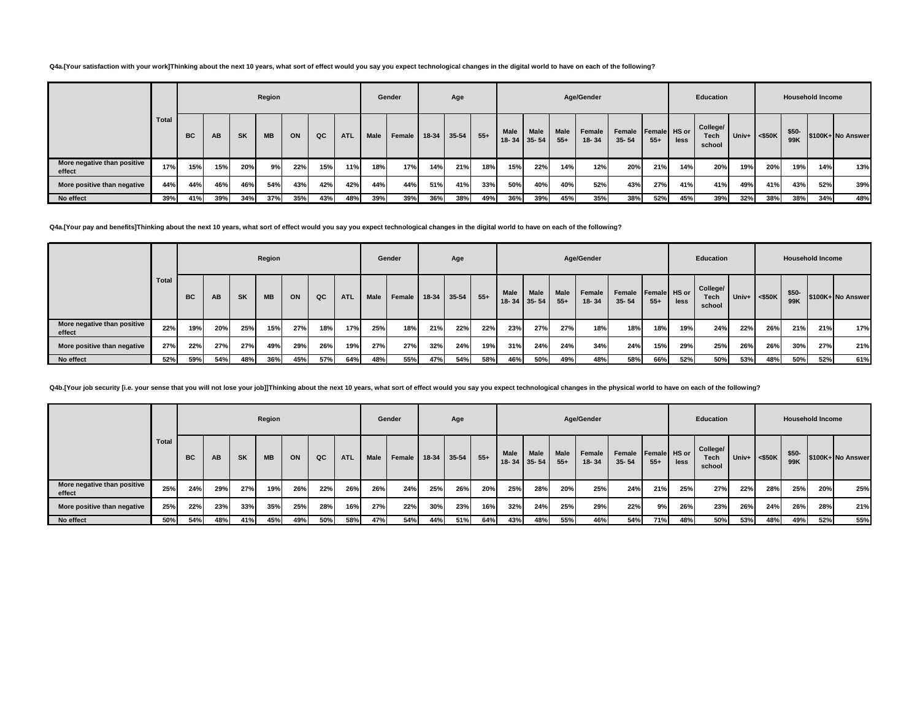### **Q4a.[Your satisfaction with your work]Thinking about the next 10 years, what sort of effect would you say you expect technological changes in the digital world to have on each of the following?**

|                                       |              |           |     |           | Region    |     |     |            |      | Gender |     | Age         |       |                          |                          |                      | Age/Gender          |                     |                       |      | Education                         |                    |     | <b>Household Income</b> |     |                   |
|---------------------------------------|--------------|-----------|-----|-----------|-----------|-----|-----|------------|------|--------|-----|-------------|-------|--------------------------|--------------------------|----------------------|---------------------|---------------------|-----------------------|------|-----------------------------------|--------------------|-----|-------------------------|-----|-------------------|
|                                       | <b>Total</b> | <b>BC</b> | AB  | <b>SK</b> | <b>MB</b> | ON  | QC  | <b>ATL</b> | Male | Female |     | 18-34 35-54 | $55+$ | <b>Male</b><br>$18 - 34$ | <b>Male</b><br>$35 - 54$ | <b>Male</b><br>$55+$ | Female<br>$18 - 34$ | Female<br>$35 - 54$ | Female HS or<br>$55+$ | less | College/<br><b>Tech</b><br>school | Univ+ $\leq$ \$50K |     | $$50-$<br>99K           |     | \$100K+ No Answer |
| More negative than positive<br>effect | 17%          | 15%       | 15% | 20%       | 9%        | 22% | 15% | 11%        | 18%  | 17%    | 14% | 21%         | 18%   | 15%                      | 22%                      | 14%                  | 12%                 | 20%                 | 21%                   | 14%  | 20%                               | 19%                | 20% | 19%                     | 14% | 13%               |
| More positive than negative           | 44%          | 44%       | 46% | 46%       | 54%       | 43% | 42% | 42%        | 44%  | 44%    | 51% | 41%         | 33%   | 50%                      | 40%                      | 40%                  | 52%                 | 43%                 | 27%                   | 41%  | 41%                               | 49%                | 41% | 43%                     | 52% | 39%               |
| No effect                             | 39%          | 41%       | 39% | 34%       | 37%       | 35% | 43% | 48%        | 39%  | 39%    | 36% | 38%         | 49%   | 36%                      | 39%                      | 45%                  | 35%                 | 38%                 | 52%                   | 45%  | 39%                               | 32%                | 38% | 38%                     | 34% | 48%               |

**Q4a.[Your pay and benefits]Thinking about the next 10 years, what sort of effect would you say you expect technological changes in the digital world to have on each of the following?**

|                                       |       |     |     |           | Region    |     |     |            |             | Gender |         | Age       |       |      |                                  |                      | Age/Gender          |                     |                       |      | Education                  |                    |     |              | <b>Household Income</b> |                   |
|---------------------------------------|-------|-----|-----|-----------|-----------|-----|-----|------------|-------------|--------|---------|-----------|-------|------|----------------------------------|----------------------|---------------------|---------------------|-----------------------|------|----------------------------|--------------------|-----|--------------|-------------------------|-------------------|
|                                       | Total | BC  | AB  | <b>SK</b> | <b>MB</b> | ON  | QC  | <b>ATL</b> | <b>Male</b> | Female | $18-34$ | $35 - 54$ | $55+$ | Male | <b>Male</b><br>$18 - 34$ 35 - 54 | <b>Male</b><br>$55+$ | Female<br>$18 - 34$ | Female<br>$35 - 54$ | Female HS or<br>$55+$ | less | College/<br>Tech<br>school | Univ+ $\leq$ \$50K |     | \$50-<br>99K |                         | \$100K+ No Answer |
| More negative than positive<br>effect | 22%   | 19% | 20% | 25%       | 15%       | 27% | 18% | 17%        | 25%         | 18%    | 21%     | 22%       | 22%   | 23%  | 27%                              | 27%                  | 18%                 | 18%                 | 18%                   | 19%  | 24%                        | 22%                | 26% | 21%          | 21%                     | 17%               |
| More positive than negative           | 27%   | 22% | 27% | 27%       | 49%       | 29% | 26% | 19%        | 27%         | 27%    | 32%     | 24%       | 19%   | 31%  | 24%                              | 24%                  | 34%                 | 24%                 | 15%                   | 29%  | 25%                        | 26%                | 26% | 30%          | 27%                     | 21%               |
| No effect                             | 52%   | 59% | 54% | 48%       | 36%       | 45% | 57% | 64%        | 48%         | 55%    | 47%     | 54%       | 58%   | 46%  | 50%                              | 49%                  | 48%                 | 58%                 | 66%                   | 52%  | 50%                        | 53%                | 48% | 50%          | 52%                     | 61%               |

Q4b.[Your job security [i.e. your sense that you will not lose your job]]Thinking about the next 10 years, what sort of effect would you say you expect technological changes in the physical world to have on each of the fol

|                                       |       |     |     |           | Region    |     |     |            |      | Gender             |     | Age |       |                   |                          |                      | Age/Gender      |                     |                       |      | Education                         |     |                    |              | <b>Household Income</b> |                   |
|---------------------------------------|-------|-----|-----|-----------|-----------|-----|-----|------------|------|--------------------|-----|-----|-------|-------------------|--------------------------|----------------------|-----------------|---------------------|-----------------------|------|-----------------------------------|-----|--------------------|--------------|-------------------------|-------------------|
|                                       | Total | BC  | AB  | <b>SK</b> | <b>MB</b> | ON  | QC  | <b>ATL</b> | Male | Female 18-34 35-54 |     |     | $55+$ | Male<br>$18 - 34$ | <b>Male</b><br>$35 - 54$ | <b>Male</b><br>$55+$ | Female<br>18-34 | Female<br>$35 - 54$ | Female HS or<br>$55+$ | less | College/<br><b>Tech</b><br>school |     | Univ+ $\leq$ \$50K | \$50-<br>99K |                         | \$100K+ No Answer |
| More negative than positive<br>effect | 25%   | 24% | 29% | 27%       | 19%       | 26% | 22% | 26%        | 26%  | 24%                | 25% | 26% | 20%   | 25%               | 28%                      | 20%                  | 25%             | 24%                 | 21%                   | 25%  | 27%                               | 22% | 28%                | 25%          | 20%                     | 25%               |
| More positive than negative           | 25%   | 22% | 23% | 33%       | 35%       | 25% | 28% | 16%        | 27%  | 22%                | 30% | 23% | 16%   | 32%               | 24%                      | 25%                  | 29%             | 22%                 | 9%                    | 26%  | 23%                               | 26% | 24%                | 26%          | 28%                     | 21%               |
| No effect                             | 50%   | 54% | 48% | 41%       | 45%       | 49% | 50% | 58%        | 47%  | 54%                | 44% | 51% | 64%   | 43%               | 48%                      | 55%                  | 46%             | 54%                 | 71%                   | 48%  | 50%                               | 53% | 48%                | 49%          | 52%                     | 55%               |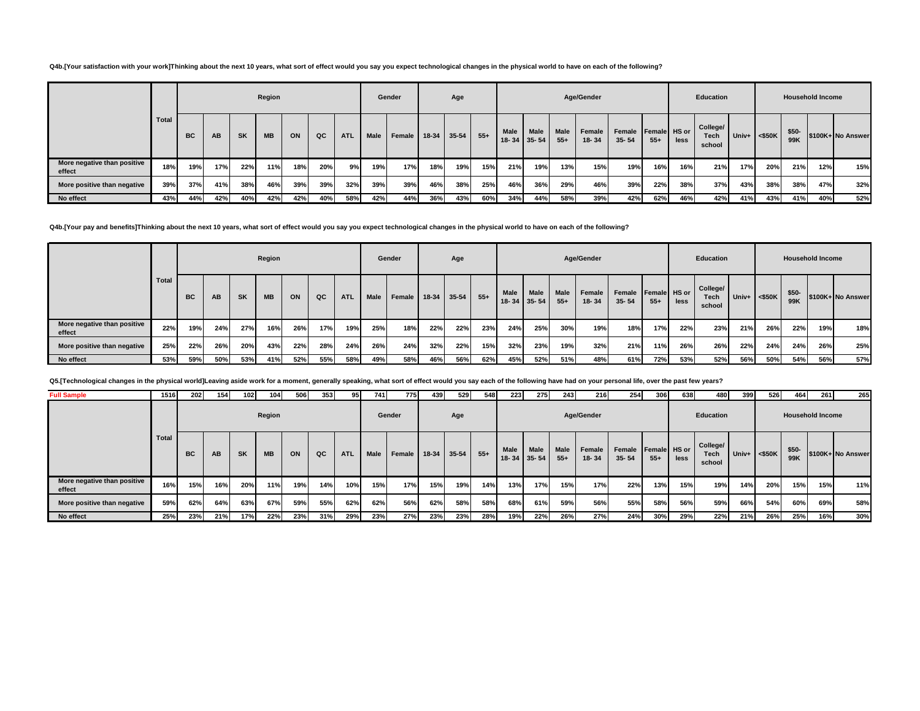**Q4b.[Your satisfaction with your work]Thinking about the next 10 years, what sort of effect would you say you expect technological changes in the physical world to have on each of the following?**

|                                       |       |           |           |           | Region    |     |     |            |             | Gender |     | Age         |        |      |                                  |               | Age/Gender          |                     |                       |      | Education                         |                 |     |               | <b>Household Income</b> |                   |
|---------------------------------------|-------|-----------|-----------|-----------|-----------|-----|-----|------------|-------------|--------|-----|-------------|--------|------|----------------------------------|---------------|---------------------|---------------------|-----------------------|------|-----------------------------------|-----------------|-----|---------------|-------------------------|-------------------|
|                                       | Total | <b>BC</b> | <b>AB</b> | <b>SK</b> | <b>MB</b> | ON  | QC  | <b>ATL</b> | <b>Male</b> | Female |     | 18-34 35-54 | $55 +$ | Male | <b>Male</b><br>$18 - 34$ 35 - 54 | Male<br>$55+$ | Female<br>$18 - 34$ | Female<br>$35 - 54$ | Female HS or<br>$55+$ | less | College/<br><b>Tech</b><br>school | Univ+ $<$ \$50K |     | $$50-$<br>99K |                         | \$100K+ No Answer |
| More negative than positive<br>effect | 18%   | 19%       | 17%       | 22%       | 11%       | 18% | 20% | 9%         | 19%         | 17%    | 18% | 19%         | 15%    | 21%  | 19%                              | 13%           | 15%                 | 19%                 | 16%                   | 16%  | 21%                               | 17%             | 20% | 21%           | 12%                     | 15%               |
| More positive than negative           | 39%   | 37%       | 41%       | 38%       | 46%       | 39% | 39% | 32%        | 39%         | 39%    | 46% | 38%         | 25%    | 46%  | 36%                              | 29%           | 46%                 | 39%                 | 22%                   | 38%  | 37%                               | 43%             | 38% | 38%           | 47%                     | 32%               |
| No effect                             | 43%   | 44%       | 42%       | 40%       | 42%       | 42% | 40% | 58%        | 42%         | 44%    | 36% | 43%         | 60%    | 34%  | 44%                              | 58%           | 39%                 | 42%                 | 62%                   | 46%  | 42%                               | 41%             | 43% | 41%           | 40%                     | 52%               |

**Q4b.[Your pay and benefits]Thinking about the next 10 years, what sort of effect would you say you expect technological changes in the physical world to have on each of the following?**

|                                       |       |     |     |           | Region    |     |     |            |             | Gender |         | Age   |       |                        |                          |               | Age/Gender          |                     |                       |      | Education                  |                    |     |              | <b>Household Income</b> |                   |
|---------------------------------------|-------|-----|-----|-----------|-----------|-----|-----|------------|-------------|--------|---------|-------|-------|------------------------|--------------------------|---------------|---------------------|---------------------|-----------------------|------|----------------------------|--------------------|-----|--------------|-------------------------|-------------------|
|                                       | Total | BC  | AB  | <b>SK</b> | <b>MB</b> | ON  | QC  | <b>ATL</b> | <b>Male</b> | Female | $18-34$ | 35-54 | $55+$ | <b>Male</b><br>$18-34$ | <b>Male</b><br>$35 - 54$ | Male<br>$55+$ | Female<br>$18 - 34$ | Female<br>$35 - 54$ | Female HS or<br>$55+$ | less | College/<br>Tech<br>school | Univ+ $\leq$ \$50K |     | \$50-<br>99K |                         | \$100K+ No Answer |
| More negative than positive<br>effect | 22%   | 19% | 24% | 27%       | 16%       | 26% | 17% | 19%        | 25%         | 18%    | 22%     | 22%   | 23%   | 24%                    | 25%                      | 30%           | 19%                 | 18%                 | 17%                   | 22%  | 23%                        | 21%                | 26% | 22%          | 19%                     | 18%               |
| More positive than negative           | 25%   | 22% | 26% | 20%       | 43%       | 22% | 28% | 24%        | 26%         | 24%    | 32%     | 22%   | 15%   | 32%                    | 23%                      | 19%           | 32%                 | 21%                 | 11%                   | 26%  | 26%                        | 22%                | 24% | 24%          | 26%                     | 25%               |
| No effect                             | 53%   | 59% | 50% | 53%       | 41%       | 52% | 55% | 58%        | 49%         | 58%    | 46%     | 56%   | 62%   | 45%                    | 52%                      | 51%           | 48%                 | 61%                 | 72%                   | 53%  | 52%                        | 56%                | 50% | 54%          | 56%                     | 57%               |

**Q5.[Technological changes in the physical world]Leaving aside work for a moment, generally speaking, what sort of effect would you say each of the following have had on your personal life, over the past few years?**

| <b>Full Sample</b>                    | 1516         | 202       | 154 | 102 | 104       | 506 | 353 | 95         | 741         | 775    | 439         | 529 | 548    | 223         | 275                       | 243                  | 216                 | 254                              | 306   | 638  | 480                               | 399   | 526       | 464                     | 261 | 265               |
|---------------------------------------|--------------|-----------|-----|-----|-----------|-----|-----|------------|-------------|--------|-------------|-----|--------|-------------|---------------------------|----------------------|---------------------|----------------------------------|-------|------|-----------------------------------|-------|-----------|-------------------------|-----|-------------------|
|                                       |              |           |     |     | Region    |     |     |            |             | Gender |             | Age |        |             |                           |                      | Age/Gender          |                                  |       |      | Education                         |       |           | <b>Household Income</b> |     |                   |
|                                       | <b>Total</b> | <b>BC</b> | AB  | SK  | <b>MB</b> | ON  | QC  | <b>ATL</b> | <b>Male</b> | Female | 18-34 35-54 |     | $55 +$ | <b>Male</b> | Male<br>$18 - 34$ 35 - 54 | <b>Male</b><br>$55+$ | Female<br>$18 - 34$ | Female Female HS or<br>$35 - 54$ | $55+$ | less | College/<br><b>Tech</b><br>school | Univ+ | $<$ \$50K | $$50-$<br>99K           |     | \$100K+ No Answer |
| More negative than positive<br>effect | 16%          | 15%       | 16% | 20% | 11%       | 19% | 14% | 10%        | 15%         | 17%    | 15%         | 19% | 14%    | 13%         | 17%                       | 15%                  | 17%                 | 22%                              | 13%   | 15%  | 19%                               | 14%   | 20%       | 15%                     | 15% | 11%               |
| More positive than negative           | 59%          | 62%       | 64% | 63% | 67%       | 59% | 55% | 62%        | 62%         | 56%    | 62%         | 58% | 58%    | 68%         | 61%                       | 59%                  | 56%                 | 55%                              | 58%   | 56%  | 59%                               | 66%   | 54%       | 60%                     | 69% | 58%               |
| No effect                             | 25%          | 23%       | 21% | 17% | 22%       | 23% | 31% | 29%        | 23%         | 27%    | 23%         | 23% | 28%    | 19%         | 22%                       | 26%                  | 27%                 | 24%                              | 30%   | 29%  | 22%                               | 21%   | 26%       | 25%                     | 16% | 30%               |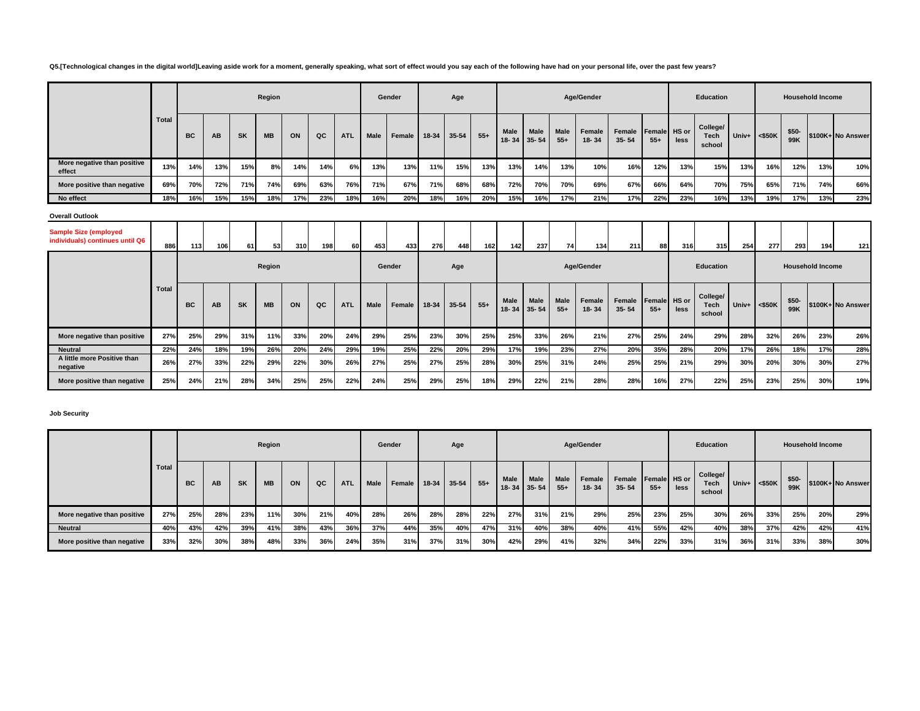# **Q5.[Technological changes in the digital world]Leaving aside work for a moment, generally speaking, what sort of effect would you say each of the following have had on your personal life, over the past few years?**

|                                                                 |       |           |     |           | Region    |     |     |            |             | Gender |       | Age   |       |                      |                          |                      | Age/Gender      |                     |                       |      | Education                         |       |           |              | <b>Household Income</b> |                   |
|-----------------------------------------------------------------|-------|-----------|-----|-----------|-----------|-----|-----|------------|-------------|--------|-------|-------|-------|----------------------|--------------------------|----------------------|-----------------|---------------------|-----------------------|------|-----------------------------------|-------|-----------|--------------|-------------------------|-------------------|
|                                                                 | Total | <b>BC</b> | AB  | <b>SK</b> | <b>MB</b> | ON  | QC  | <b>ATL</b> | Male        | Female | 18-34 | 35-54 | $55+$ | <b>Male</b><br>18-34 | Male<br>$35 - 54$        | <b>Male</b><br>$55+$ | Female<br>18-34 | Female<br>$35 - 54$ | Female HS or<br>$55+$ | less | College/<br><b>Tech</b><br>school | Univ+ | $<$ \$50K | \$50-<br>99K |                         | \$100K+ No Answer |
| More negative than positive<br>effect                           | 13%   | 14%       | 13% | 15%       | 8%        | 14% | 14% | 6%         | 13%         | 13%    | 11%   | 15%   | 13%   | 13%                  | 14%                      | 13%                  | 10%             | 16%                 | 12%                   | 13%  | 15%                               | 13%   | 16%       | 12%          | 13%                     | 10%               |
| More positive than negative                                     | 69%   | 70%       | 72% | 71%       | 74%       | 69% | 63% | 76%        | 71%         | 67%    | 71%   | 68%   | 68%   | 72%                  | 70%                      | 70%                  | 69%             | 67%                 | 66%                   | 64%  | 70%                               | 75%   | 65%       | 71%          | 74%                     | 66%               |
| No effect                                                       | 18%   | 16%       | 15% | 15%       | 18%       | 17% | 23% | 18%        | 16%         | 20%    | 18%   | 16%   | 20%   | 15%                  | 16%                      | 17%                  | 21%             | 17%                 | 22%                   | 23%  | 16%                               | 13%   | 19%       | 17%          | 13%                     | 23%               |
| <b>Overall Outlook</b>                                          |       |           |     |           |           |     |     |            |             |        |       |       |       |                      |                          |                      |                 |                     |                       |      |                                   |       |           |              |                         |                   |
| <b>Sample Size (employed</b><br>individuals) continues until Q6 | 886   | 113       | 106 | 61        | 53        | 310 | 198 | 60         | 453         | 433    | 276   | 448   | 162   | 142                  | 237                      | 74                   | 134             | 211                 | 88                    | 316  | 315                               | 254   | 277       | 293          | 194                     | 121               |
|                                                                 |       |           |     |           | Region    |     |     |            |             | Gender |       | Age   |       |                      |                          |                      | Age/Gender      |                     |                       |      | <b>Education</b>                  |       |           |              | <b>Household Income</b> |                   |
|                                                                 | Total | <b>BC</b> | AB  | <b>SK</b> | <b>MB</b> | ON  | QC  | <b>ATL</b> | <b>Male</b> | Female | 18-34 | 35-54 | $55+$ | Male<br>18-34        | <b>Male</b><br>$35 - 54$ | Male<br>$55+$        | Female<br>18-34 | Female<br>$35 - 54$ | Female HS or<br>$55+$ | less | College/<br><b>Tech</b><br>school | Univ+ | $<$ \$50K | \$50-<br>99K |                         | \$100K+ No Answer |
| More negative than positive                                     | 27%   | 25%       | 29% | 31%       | 11%       | 33% | 20% | 24%        | 29%         | 25%    | 23%   | 30%   | 25%   | 25%                  | 33%                      | 26%                  | 21%             | 27%                 | 25%                   | 24%  | 29%                               | 28%   | 32%       | 26%          | 23%                     | 26%               |
| <b>Neutral</b>                                                  | 22%   | 24%       | 18% | 19%       | 26%       | 20% | 24% | 29%        | 19%         | 25%    | 22%   | 20%   | 29%   | 17%                  | 19%                      | 23%                  | 27%             | 20%                 | 35%                   | 28%  | 20%                               | 17%   | 26%       | 18%          | 17%                     | 28%               |
| A little more Positive than<br>negative                         | 26%   | 27%       | 33% | 22%       | 29%       | 22% | 30% | 26%        | 27%         | 25%    | 27%   | 25%   | 28%   | 30%                  | 25%                      | 31%                  | 24%             | 25%                 | 25%                   | 21%  | 29%                               | 30%   | 20%       | 30%          | 30%                     | 27%               |
| More positive than negative                                     | 25%   | 24%       | 21% | 28%       | 34%       | 25% | 25% | 22%        | 24%         | 25%    | 29%   | 25%   | 18%   | 29%                  | 22%                      | 21%                  | 28%             | 28%                 | 16%                   | 27%  | 22%                               | 25%   | 23%       | 25%          | 30%                     | 19%               |

**Job Security**

|                             |       |           |           |           | Region    |     |     |            |      | Gender |             | Age |       |                          |                          |                      | Age/Gender      |                                  |       |      | Education                  |     |                 |               | <b>Household Income</b> |                   |
|-----------------------------|-------|-----------|-----------|-----------|-----------|-----|-----|------------|------|--------|-------------|-----|-------|--------------------------|--------------------------|----------------------|-----------------|----------------------------------|-------|------|----------------------------|-----|-----------------|---------------|-------------------------|-------------------|
|                             | Total | <b>BC</b> | <b>AB</b> | <b>SK</b> | <b>MB</b> | ON  | QC  | <b>ATL</b> | Male | Female | 18-34 35-54 |     | $55+$ | <b>Male</b><br>$18 - 34$ | <b>Male</b><br>$35 - 54$ | <b>Male</b><br>$55+$ | Female<br>18-34 | Female Female HS or<br>$35 - 54$ | $55+$ | less | College/<br>Tech<br>school |     | Univ+ $<$ \$50K | $$50-$<br>99K |                         | \$100K+ No Answer |
| More negative than positive | 27%   | 25%       | 28%       | 23%       | 11%       | 30% | 21% | 40%        | 28%  | 26%    | 28%         | 28% | 22%   | 27%                      | 31%                      | 21%                  | 29%             | 25%                              | 23%   | 25%  | 30%                        | 26% | 33%             | 25%           | 20%                     | 29%               |
| <b>Neutral</b>              | 40%   | 43%       | 42%       | 39%       | 41%       | 38% | 43% | 36%        | 37%  | 44%    | 35%         | 40% | 47%   | 31%                      | 40%                      | 38%                  | 40%             | 41%                              | 55%   | 42%  | 40%                        | 38% | 37%             | 42%           | 42%                     | 41%               |
| More positive than negative | 33%   | 32%       | 30%       | 38%       | 48%       | 33% | 36% | 24%        | 35%  | 31%    | 37%         | 31% | 30%   | 42%                      | 29%                      | 41%                  | 32%             | 34%                              | 22%   | 33%  | 31%                        | 36% | 31%             | 33%           | 38%                     | 30%               |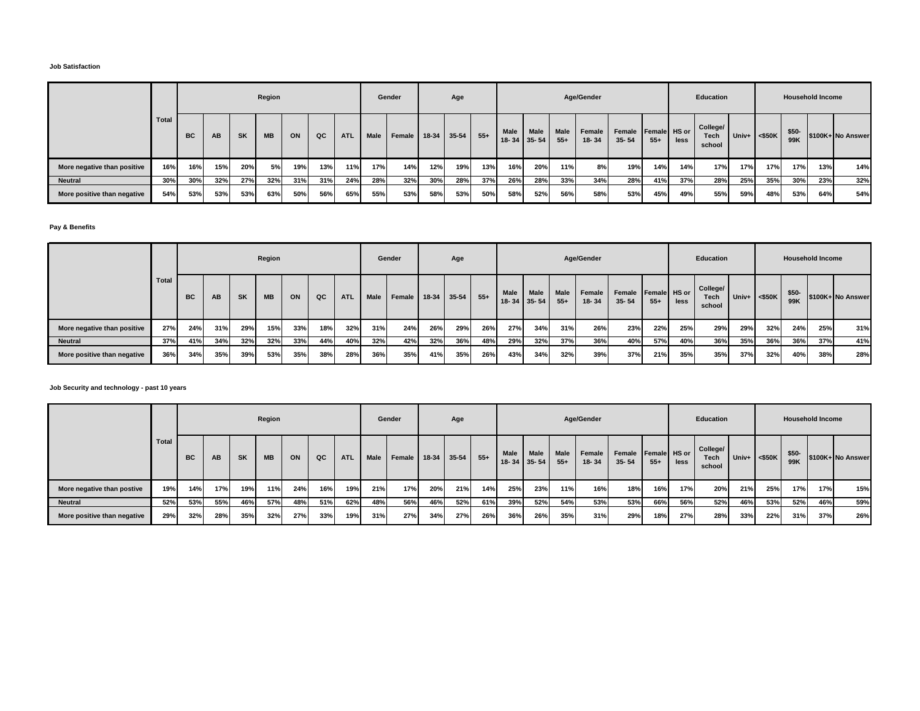#### **Job Satisfaction**

|                             |       |     |     |     | Region    |     |     |            |      | Gender |             | Age |       |                          |                   |                      | Age/Gender      |                     |                       |      | Education                  |     |                 | <b>Household Income</b> |     |                   |
|-----------------------------|-------|-----|-----|-----|-----------|-----|-----|------------|------|--------|-------------|-----|-------|--------------------------|-------------------|----------------------|-----------------|---------------------|-----------------------|------|----------------------------|-----|-----------------|-------------------------|-----|-------------------|
|                             | Total | BC  | AB  | SK  | <b>MB</b> | ON  | QC  | <b>ATL</b> | Male | Female | 18-34 35-54 |     | $55+$ | <b>Male</b><br>$18 - 34$ | Male<br>$35 - 54$ | <b>Male</b><br>$55+$ | Female<br>18-34 | Female<br>$35 - 54$ | Female HS or<br>$55+$ | less | College/<br>Tech<br>school |     | Univ+ $<$ \$50K | $$50-$<br>99K           |     | \$100K+ No Answer |
| More negative than positive | 16%   | 16% | 15% | 20% | 5%        | 19% | 13% | 11%        | 17%  | 14%    | 12%         | 19% | 13%   | 16%                      | 20%               | 11%                  | 8%              | 19%                 | 14%                   | 14%  | 17%                        | 17% | 17%             | 17%                     | 13% | 14%               |
| <b>Neutral</b>              | 30%   | 30% | 32% | 27% | 32%       | 31% | 31% | 24%        | 28%  | 32%    | 30%         | 28% | 37%   | 26%                      | 28%               | 33%                  | 34%             | 28%                 | 41%                   | 37%  | 28%                        | 25% | 35%             | 30%                     | 23% | 32%               |
| More positive than negative | 54%   | 53% | 53% | 53% | 63%       | 50% | 56% | 65%        | 55%  | 53%    | 58%         | 53% | 50%   | 58%                      | 52%               | 56%                  | 58%             | 53%                 | 45%                   | 49%  | 55%                        | 59% | 48%             | 53%                     | 64% | 54%               |

# **Pay & Benefits**

|                             |       |           |     |           | Region    |     |     |            |             | Gender |               | Age |       |      |                                  |                      | Age/Gender                 |                     |                       |      | Education                         |       |           |              | <b>Household Income</b> |                   |
|-----------------------------|-------|-----------|-----|-----------|-----------|-----|-----|------------|-------------|--------|---------------|-----|-------|------|----------------------------------|----------------------|----------------------------|---------------------|-----------------------|------|-----------------------------------|-------|-----------|--------------|-------------------------|-------------------|
|                             | Total | <b>BC</b> | AB  | <b>SK</b> | <b>MB</b> | ON  | QC  | <b>ATL</b> | <b>Male</b> | Female | $18-34$ 35-54 |     | $55+$ | Male | <b>Male</b><br>$18 - 34$ 35 - 54 | <b>Male</b><br>$55+$ | <b>Female</b><br>$18 - 34$ | Female<br>$35 - 54$ | Female HS or<br>$55+$ | less | College/<br><b>Tech</b><br>school | Univ+ | $<$ \$50K | \$50-<br>99K |                         | \$100K+ No Answer |
| More negative than positive | 27%   | 24%       | 31% | 29%       | 15%       | 33% | 18% | 32%        | 31%         | 24%    | 26%           | 29% | 26%   | 27%  | 34%                              | 31%                  | 26%                        | 23%                 | 22%                   | 25%  | 29%                               | 29%   | 32%       | 24%          | 25%                     | 31%               |
| <b>Neutral</b>              | 37%   | 41%       | 34% | 32%       | 32%       | 33% | 44% | 40%        | 32%         | 42%    | 32%           | 36% | 48%   | 29%  | 32%                              | 37%                  | 36%                        | 40%                 | 57%                   | 40%  | 36%                               | 35%   | 36%       | 36%          | 37%                     | 41%               |
| More positive than negative | 36%   | 34%       | 35% | 39%       | 53%       | 35% | 38% | 28%        | 36%         | 35%    | 41%           | 35% | 26%   | 43%  | 34%                              | 32%                  | 39%                        | 37%                 | 21%                   | 35%  | 35%                               | 37%   | 32%       | 40%          | 38%                     | 28%               |

# **Job Security and technology - past 10 years**

|                             |       |           |     |           | Region    |     |     |     |             | Gender |         | Age       |       |                   |                          |                      | Age/Gender          |                                  |       |      | Education                         |       |           |              | <b>Household Income</b> |                   |
|-----------------------------|-------|-----------|-----|-----------|-----------|-----|-----|-----|-------------|--------|---------|-----------|-------|-------------------|--------------------------|----------------------|---------------------|----------------------------------|-------|------|-----------------------------------|-------|-----------|--------------|-------------------------|-------------------|
|                             | Total | <b>BC</b> | AB  | <b>SK</b> | <b>MB</b> | ON  | QC  | ATL | <b>Male</b> | Female | $18-34$ | $35 - 54$ | $55+$ | Male<br>$18 - 34$ | <b>Male</b><br>$35 - 54$ | <b>Male</b><br>$55+$ | Female<br>$18 - 34$ | Female Female HS or<br>$35 - 54$ | $55+$ | less | College/<br><b>Tech</b><br>school | Univ+ | $<$ \$50K | \$50-<br>99K |                         | \$100K+ No Answer |
| More negative than postive  | 19%   | 14%       | 17% | 19%       | 11%       | 24% | 16% | 19% | 21%         | 17%    | 20%     | 21%       | 14%   | 25%               | 23%                      | 11%                  | 16%                 | 18%                              | 16%   | 17%  | 20%                               | 21%   | 25%       | 17%          | 17%                     | 15%               |
| <b>Neutral</b>              | 52%   | 53%       | 55% | 46%       | 57%       | 48% | 51% | 62% | 48%         | 56%    | 46%     | 52%       | 61%   | 39%               | 52%                      | 54%                  | 53%                 | 53%                              | 66%   | 56%  | 52%                               | 46%   | 53%       | 52%          | 46%                     | 59%               |
| More positive than negative | 29%   | 32%       | 28% | 35%       | 32%       | 27% | 33% | 19% | 31%         | 27%    | 34%     | 27%       | 26%   | 36%               | 26%                      | 35%                  | 31%                 | 29%                              | 18%   | 27%  | 28%                               | 33%   | 22%       | 31%          | 37%                     | 26%               |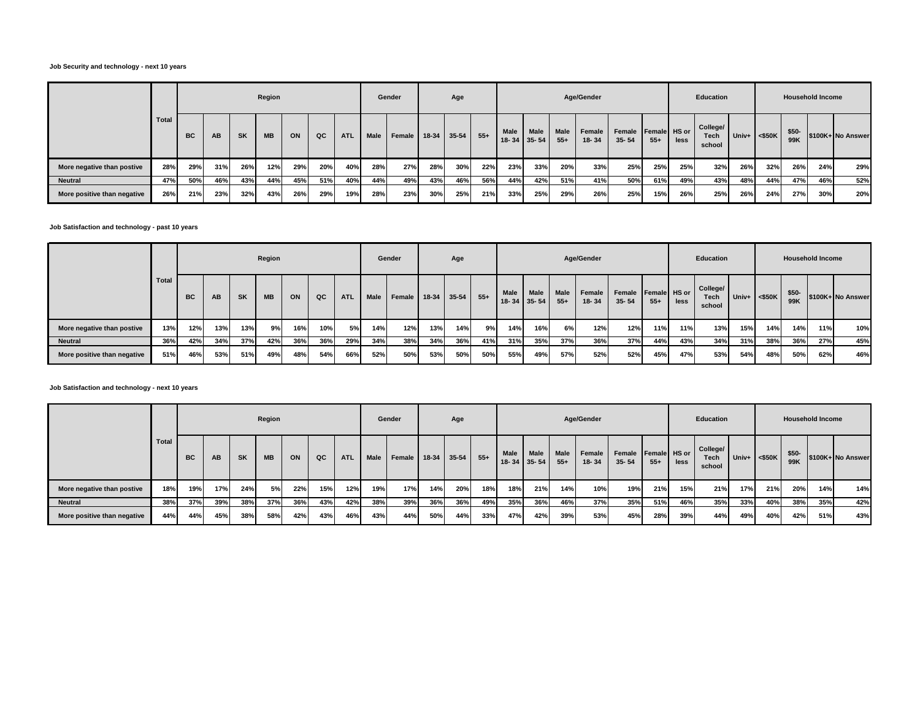#### **Job Security and technology - next 10 years**

|                             |       |           |     |           | Region    |     |     |            |             | Gender |     | Age         |        |      |                           |                      | Age/Gender      |                                  |       |      | Education                         |                 |     |               | <b>Household Income</b> |                   |
|-----------------------------|-------|-----------|-----|-----------|-----------|-----|-----|------------|-------------|--------|-----|-------------|--------|------|---------------------------|----------------------|-----------------|----------------------------------|-------|------|-----------------------------------|-----------------|-----|---------------|-------------------------|-------------------|
|                             | Total | <b>BC</b> | AB  | <b>SK</b> | <b>MB</b> | ON  | QC  | <b>ATL</b> | <b>Male</b> | Female |     | 18-34 35-54 | $55 +$ | Male | Male<br>$18 - 34$ 35 - 54 | <b>Male</b><br>$55+$ | Female<br>18-34 | Female Female HS or<br>$35 - 54$ | $55+$ | less | College/<br><b>Tech</b><br>school | Univ+ $<$ \$50K |     | $$50-$<br>99K |                         | \$100K+ No Answer |
| More negative than postive  | 28%   | 29%       | 31% | 26%       | 12%       | 29% | 20% | 40%        | 28%         | 27%    | 28% | 30%         | 22%    | 23%  | 33%                       | 20%                  | 33%             | 25%                              | 25%   | 25%  | 32%                               | 26%             | 32% | 26%           | 24%                     | 29%               |
| <b>Neutral</b>              | 47%   | 50%       | 46% | 43%       | 44%       | 45% | 51% | 40%        | 44%         | 49%    | 43% | 46%         | 56%    | 44%  | 42%                       | 51%                  | 41%             | 50%                              | 61%   | 49%  | 43%                               | 48%             | 44% | 47%           | 46%                     | 52%               |
| More positive than negative | 26%   | 21%       | 23% | 32%       | 43%       | 26% | 29% | 19%        | 28%         | 23%    | 30% | 25%         | 21%    | 33%  | 25%                       | 29%                  | 26%             | 25%                              | 15%   | 26%  | 25%                               | 26%             | 24% | 27%           | 30%                     | 20%               |

#### **Job Satisfaction and technology - past 10 years**

|                             |       |           |     |           | Region    |     |     |            |      | Gender |     | Age         |       |      |                            |                      | Age/Gender      |                                  |       |      | Education                         |                 |     |               | <b>Household Income</b> |                   |
|-----------------------------|-------|-----------|-----|-----------|-----------|-----|-----|------------|------|--------|-----|-------------|-------|------|----------------------------|----------------------|-----------------|----------------------------------|-------|------|-----------------------------------|-----------------|-----|---------------|-------------------------|-------------------|
|                             | Total | <b>BC</b> | AB  | <b>SK</b> | <b>MB</b> | ON  | QC  | <b>ATL</b> | Male | Female |     | 18-34 35-54 | $55+$ | Male | <b>Male</b><br>18-34 35-54 | <b>Male</b><br>$55+$ | Female<br>18-34 | Female Female HS or<br>$35 - 54$ | $55+$ | less | College/<br><b>Tech</b><br>school | Univ+ $<$ \$50K |     | $$50-$<br>99K |                         | \$100K+ No Answer |
| More negative than postive  | 13%   | 12%       | 13% | 13%       | 9%        | 16% | 10% | 5%         | 14%  | 12%    | 13% | 14%         | 9%    | 14%  | 16%                        | 6%                   | 12%             | 12%                              | 11%   | 11%  | 13%                               | 15%             | 14% | 14%           | 11%                     | 10%               |
| <b>Neutral</b>              | 36%   | 42%       | 34% | 37%       | 42%       | 36% | 36% | 29%        | 34%  | 38%    | 34% | 36%         | 41%   | 31%  | 35%                        | 37%                  | 36%             | 37%                              | 44%   | 43%  | 34%                               | 31%             | 38% | 36%           | 27%                     | 45%               |
| More positive than negative | 51%   | 46%       | 53% | 51%       | 49%       | 48% | 54% | 66%        | 52%  | 50%    | 53% | 50%         | 50%   | 55%  | 49%                        | 57%                  | 52%             | 52%                              | 45%   | 47%  | 53%                               | 54%             | 48% | 50%           | 62%                     | 46%               |

# **Job Satisfaction and technology - next 10 years**

|                             |              |           |     |           | Region    |     |     |            |             | Gender |             | Age |       |                            |      |                      | Age/Gender          |                     |                       |      | Education                         |                    |     | <b>Household Income</b> |     |                   |
|-----------------------------|--------------|-----------|-----|-----------|-----------|-----|-----|------------|-------------|--------|-------------|-----|-------|----------------------------|------|----------------------|---------------------|---------------------|-----------------------|------|-----------------------------------|--------------------|-----|-------------------------|-----|-------------------|
|                             | <b>Total</b> | <b>BC</b> | AB  | <b>SK</b> | <b>MB</b> | ON  | QC  | <b>ATL</b> | <b>Male</b> | Female | 18-34 35-54 |     | $55+$ | <b>Male</b><br>18-34 35-54 | Male | <b>Male</b><br>$55+$ | Female<br>$18 - 34$ | Female<br>$35 - 54$ | Female HS or<br>$55+$ | less | College/<br><b>Tech</b><br>school | Univ+ $\leq$ \$50K |     | \$50-<br>99K            |     | \$100K+ No Answer |
| More negative than postive  | 18%          | 19%       | 17% | 24%       | 5%        | 22% | 15% | 12%        | 19%         | 17%    | 14%         | 20% | 18%   | 18%                        | 21%  | 14%                  | 10%                 | 19%                 | 21%                   | 15%  | 21%                               | 17%                | 21% | 20%                     | 14% | 14%               |
| <b>Neutral</b>              | 38%          | 37%       | 39% | 38%       | 37%       | 36% | 43% | 42%        | 38%         | 39%    | 36%         | 36% | 49%   | 35%                        | 36%  | 46%                  | 37%                 | 35%                 | 51%                   | 46%  | 35%                               | 33%                | 40% | 38%                     | 35% | 42%               |
| More positive than negative | 44%          | 44%       | 45% | 38%       | 58%       | 42% | 43% | 46%        | 43%         | 44%    | 50%         | 44% | 33%   | 47%                        | 42%  | 39%                  | 53%                 | 45%                 | 28%                   | 39%  | 44%                               | 49%                | 40% | 42%                     | 51% | 43%               |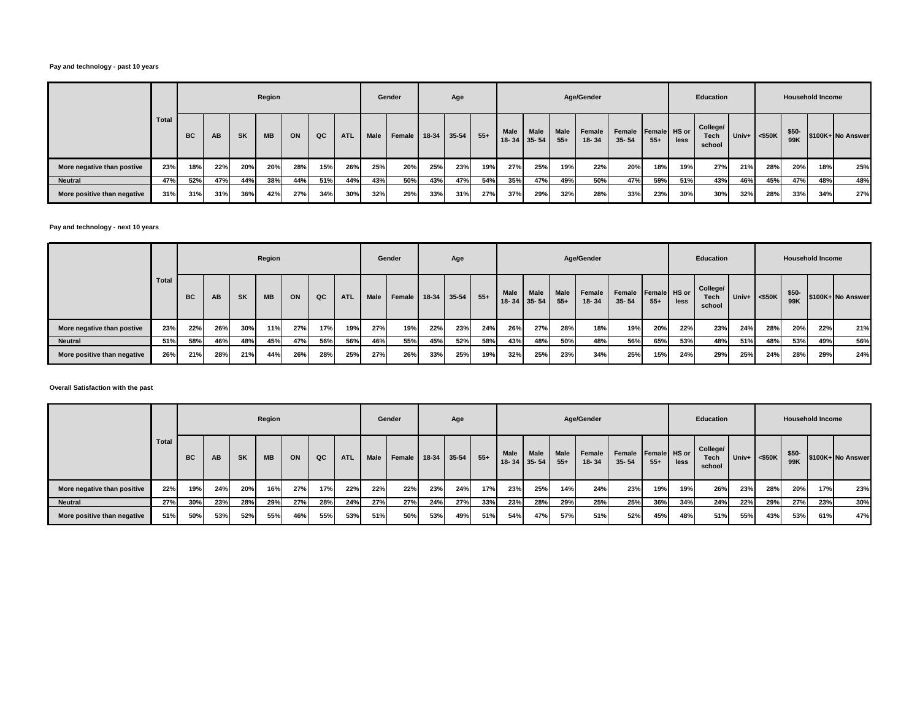### **Pay and technology - past 10 years**

|                             |       |           |     |           | Region    |     |     |            |             | Gender | Age         |     |       | Age/Gender           |                          |                      |                 |                                  |       |      | Education                         |                 | <b>Household Income</b> |               |     |                   |  |
|-----------------------------|-------|-----------|-----|-----------|-----------|-----|-----|------------|-------------|--------|-------------|-----|-------|----------------------|--------------------------|----------------------|-----------------|----------------------------------|-------|------|-----------------------------------|-----------------|-------------------------|---------------|-----|-------------------|--|
|                             | Total | <b>BC</b> | AB  | <b>SK</b> | <b>MB</b> | ON  | QC  | <b>ATL</b> | <b>Male</b> | Female | 18-34 35-54 |     | $55+$ | <b>Male</b><br>18-34 | <b>Male</b><br>$35 - 54$ | <b>Male</b><br>$55+$ | Female<br>18-34 | Female Female HS or<br>$35 - 54$ | $55+$ | less | College/<br><b>Tech</b><br>school | Univ+ $<$ \$50K |                         | $$50-$<br>99K |     | \$100K+ No Answer |  |
| More negative than postive  | 23%   | 18%       | 22% | 20%       | 20%       | 28% | 15% | 26%        | 25%         | 20%    | 25%         | 23% | 19%   | 27%                  | 25%                      | 19%                  | 22%             | 20%                              | 18%   | 19%  | 27%                               | 21%             | 28%                     | 20%           | 18% | 25%               |  |
| <b>Neutral</b>              | 47%   | 52%       | 47% | 44%       | 38%       | 44% | 51% | 44%        | 43%         | 50%    | 43%         | 47% | 54%   | 35%                  | 47%                      | 49%                  | 50%             | 47%                              | 59%   | 51%  | 43%                               | 46%             | 45%                     | 47%           | 48% | 48%               |  |
| More positive than negative | 31%   | 31%       | 31% | 36%       | 42%       | 27% | 34% | 30%        | 32%         | 29%    | 33%         | 31% | 27%   | 37%                  | 29%                      | 32%                  | 28%             | 33%                              | 23%   | 30%  | 30%                               | 32%             | 28%                     | 33%           | 34% | 27%               |  |

### **Pay and technology - next 10 years**

|                             |       |     |     |           | Region    |     |     |            |             | Gender | Age           |     |        | Age/Gender        |                          |                      |                 |                                  |       |      | Education                  |       | <b>Household Income</b> |               |     |                   |  |
|-----------------------------|-------|-----|-----|-----------|-----------|-----|-----|------------|-------------|--------|---------------|-----|--------|-------------------|--------------------------|----------------------|-----------------|----------------------------------|-------|------|----------------------------|-------|-------------------------|---------------|-----|-------------------|--|
|                             | Total | BC  | AB  | <b>SK</b> | <b>MB</b> | ON  | QC  | <b>ATL</b> | <b>Male</b> | Female | $18-34$ 35-54 |     | $55 +$ | Male<br>$18 - 34$ | <b>Male</b><br>$35 - 54$ | <b>Male</b><br>$55+$ | Female<br>18-34 | Female Female HS or<br>$35 - 54$ | $55+$ | less | College/<br>Tech<br>school | Univ+ | $<$ \$50K               | $$50-$<br>99K |     | \$100K+ No Answer |  |
| More negative than postive  | 23%   | 22% | 26% | 30%       | 11%       | 27% | 17% | 19%        | 27%         | 19%    | 22%           | 23% | 24%    | 26%               | 27%                      | 28%                  | 18%             | 19%                              | 20%   | 22%  | 23%                        | 24%   | 28%                     | 20%           | 22% | 21%               |  |
| <b>Neutral</b>              | 51%   | 58% | 46% | 48%       | 45%       | 47% | 56% | 56%        | 46%         | 55%    | 45%           | 52% | 58%    | 43%               | 48%                      | 50%                  | 48%             | 56%                              | 65%   | 53%  | 48%                        | 51%   | 48%                     | 53%           | 49% | 56%               |  |
| More positive than negative | 26%   | 21% | 28% | 21%       | 44%       | 26% | 28% | 25%        | 27%         | 26%    | 33%           | 25% | 19%    | 32%               | 25%                      | 23%                  | 34%             | 25%                              | 15%   | 24%  | 29%                        | 25%   | 24%                     | 28%           | 29% | 24%               |  |

**Overall Satisfaction with the past**

|                             |              |           |     |           | Region    |     |     |            |      | Gender |             | Age |       |      |                     |                      | Age/Gender      |                                  |       |      | Education                         |       |           |               | <b>Household Income</b> |                   |
|-----------------------------|--------------|-----------|-----|-----------|-----------|-----|-----|------------|------|--------|-------------|-----|-------|------|---------------------|----------------------|-----------------|----------------------------------|-------|------|-----------------------------------|-------|-----------|---------------|-------------------------|-------------------|
|                             | <b>Total</b> | <b>BC</b> | AB  | <b>SK</b> | <b>MB</b> | ON  | QC  | <b>ATL</b> | Male | Female | 18-34 35-54 |     | $55+$ | Male | Male<br>18-34 35-54 | <b>Male</b><br>$55+$ | Female<br>18-34 | Female Female HS or<br>$35 - 54$ | $55+$ | less | College/<br><b>Tech</b><br>school | Univ+ | $<$ \$50K | $$50-$<br>99K |                         | \$100K+ No Answer |
| More negative than positive | 22%          | 19%       | 24% | 20%       | 16%       | 27% | 17% | 22%        | 22%  | 22%    | 23%         | 24% | 17%   | 23%  | 25%                 | 14%                  | 24%             | 23%                              | 19%   | 19%  | 26%                               | 23%   | 28%       | 20%           | 17%                     | 23%               |
| <b>Neutral</b>              | 27%          | 30%       | 23% | 28%       | 29%       | 27% | 28% | 24%        | 27%  | 27%    | 24%         | 27% | 33%   | 23%  | 28%                 | 29%                  | 25%             | 25%                              | 36%   | 34%  | 24%                               | 22%   | 29%       | 27%           | 23%                     | 30%               |
| More positive than negative | 51%          | 50%       | 53% | 52%       | 55%       | 46% | 55% | 53%        | 51%  | 50%    | 53%         | 49% | 51%   | 54%  | 47%                 | 57%                  | 51%             | 52%                              | 45%   | 48%  | 51%                               | 55%   | 43%       | 53%           | 61%                     | 47%               |